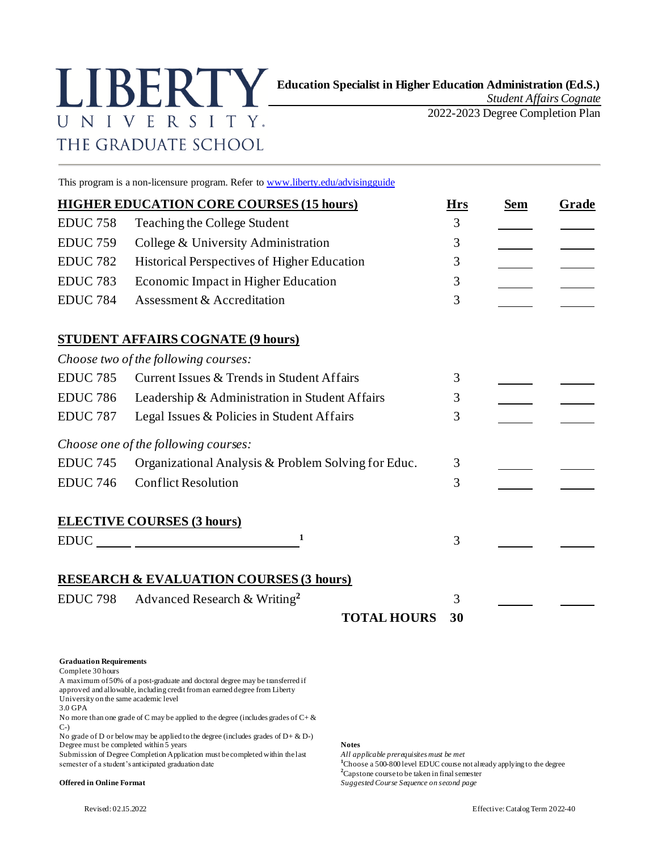## UNIVERSITY. THE GRADUATE SCHOOL

*Student Affairs Cognate*

2022-2023 Degree Completion Plan

This program is a non-licensure program. Refer t[o www.liberty.edu/advisingguide](http://www.liberty.edu/advisingguide)

|                 | <b>HIGHER EDUCATION CORE COURSES (15 hours)</b>     |                    | <b>Hrs</b> | <b>Sem</b> | <b>Grade</b> |
|-----------------|-----------------------------------------------------|--------------------|------------|------------|--------------|
| <b>EDUC 758</b> | Teaching the College Student                        |                    | 3          |            |              |
| <b>EDUC 759</b> | College & University Administration                 |                    | 3          |            |              |
| <b>EDUC 782</b> | Historical Perspectives of Higher Education         |                    | 3          |            |              |
| <b>EDUC 783</b> | Economic Impact in Higher Education                 |                    | 3          |            |              |
| <b>EDUC 784</b> | Assessment & Accreditation                          |                    | 3          |            |              |
|                 | <b>STUDENT AFFAIRS COGNATE (9 hours)</b>            |                    |            |            |              |
|                 | Choose two of the following courses:                |                    |            |            |              |
| <b>EDUC 785</b> | Current Issues & Trends in Student Affairs          |                    | 3          |            |              |
| <b>EDUC 786</b> | Leadership & Administration in Student Affairs      |                    | 3          |            |              |
| <b>EDUC 787</b> | Legal Issues & Policies in Student Affairs          |                    | 3          |            |              |
|                 | Choose one of the following courses:                |                    |            |            |              |
| <b>EDUC 745</b> | Organizational Analysis & Problem Solving for Educ. |                    | 3          |            |              |
| <b>EDUC 746</b> | <b>Conflict Resolution</b>                          |                    | 3          |            |              |
|                 | <b>ELECTIVE COURSES (3 hours)</b>                   |                    |            |            |              |
| <b>EDUC</b>     | 1                                                   |                    | 3          |            |              |
|                 | <b>RESEARCH &amp; EVALUATION COURSES (3 hours)</b>  |                    |            |            |              |
| <b>EDUC 798</b> | Advanced Research & Writing <sup>2</sup>            |                    | 3          |            |              |
|                 |                                                     | <b>TOTAL HOURS</b> | 30         |            |              |

**Graduation Requirements**

Complete 30 hours

A maximum of 50% of a post-graduate and doctoral degree may be transferred if approved and allowable, including credit from an earned degree from Liberty University on the same academic level

3.0 GPA

No more than one grade of C may be applied to the degree (includes grades of  $C + \&$ C-)

No grade of D or below may be applied to the degree (includes grades of D+ & D-) Degree must be completed within 5 years **Notes**

Submission of Degree Completion Application must be completed within the last *All applicable prerequisites must be met*<br><sup>1</sup>Choose a 500-800 level EDUC course m

<sup>1</sup>Choose a 500-800 level EDUC course not already applying to the degree **<sup>2</sup>**Capstone course to be taken in final semester

**Offered in Online Format** *Suggested Course Sequence on second page*